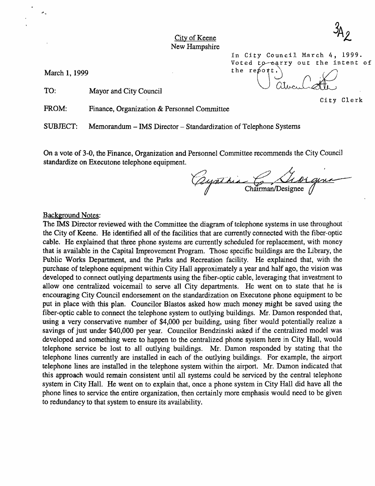City of Keene New Hampshire

March 1, 1999

 $\epsilon$  .

TO: Mayor and City Council

FROM: Finance, Organization & Personnel Committee

SUBJECT: Memorandum - IMS Director - Standardization of Telephone Systems

On a vote of 3-0, the Finance, Organization and Personnel Committee recommends the City Council standardize on Executone telephone equipment.

ayathia  $\epsilon$  Chairman/Designee

In City Council March 4, 1999.

Voted to earry out the intent of<br>the report.<br> $\bigcup_{n=1}^{\infty}$ 

#### Background Notes;

The IMS Director reviewed with the Committee the diagram of telephone systems in use throughout the City of Keene. He identified all of the facilities that are currently connected with the fiber-optic cable. He explained that three phone systems are currently scheduled for replacement, with money that is available in the Capital Improvement Program. Those specific buildings are the Library, the Public Works Department, and the Parks and Recreation facility. He explained that, with the purchase of telephone equipment within City Hall approximately a year and half ago, the vision was developed to connect outlying departments using the fiber-optic cable, leveraging that investment to allow one centralized voicemail to serve all City departments. He went on to state that he is encouraging City Council endorsement on the standardization on Executone phone equipment to be put in place with this plan. Councilor Blastos asked how much money might be saved using the fiber-optic cable to connect the telephone system to outlying buildings. Mr. Damon responded that, using a very conservative number of \$4,000 per building, using fiber would potentially realize a savings of just under \$40,000 per year. Councilor Bendzinski asked if the centralized model was developed and something were to happen to the centralized phone system here in City Hall, would telephone service be lost to all outlying buildings. Mr. Damon responded by stating that the telephone lines currently are installed in each of the outlying buildings. For example, the airport telephone lines are installed in the telephone system within the airport. Mr. Damon indicated that this approach would remain consistent until all systems could be serviced by the central telephone system in City Hall. He went on to explain that, once a phone system in City Hall did have all the phone lines to service the entire organization, then certainly more emphasis would need to be given to redundancy to that system to ensure its availability.

City Clerk